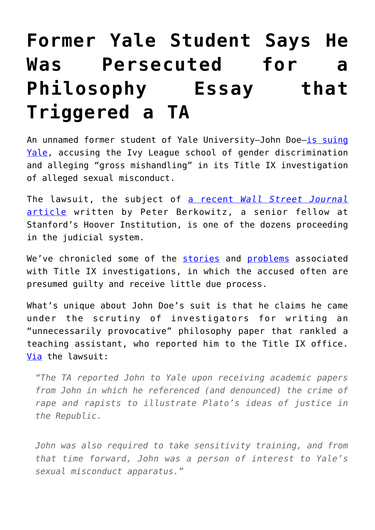## **[Former Yale Student Says He](https://intellectualtakeout.org/2017/04/former-yale-student-says-he-was-persecuted-for-a-philosophy-essay-that-triggered-a-ta/) [Was Persecuted for a](https://intellectualtakeout.org/2017/04/former-yale-student-says-he-was-persecuted-for-a-philosophy-essay-that-triggered-a-ta/) [Philosophy Essay that](https://intellectualtakeout.org/2017/04/former-yale-student-says-he-was-persecuted-for-a-philosophy-essay-that-triggered-a-ta/) [Triggered a TA](https://intellectualtakeout.org/2017/04/former-yale-student-says-he-was-persecuted-for-a-philosophy-essay-that-triggered-a-ta/)**

An unnamed former student of Yale University—John Doe—[is suing](https://kcjohnson.files.wordpress.com/2013/08/yaleiii-complaint.pdf) [Yale,](https://kcjohnson.files.wordpress.com/2013/08/yaleiii-complaint.pdf) accusing the Ivy League school of gender discrimination and alleging "gross mishandling" in its Title IX investigation of alleged sexual misconduct.

The lawsuit, the subject of [a recent](https://www.wsj.com/articles/a-lawsuit-accuses-yale-of-censoring-even-inoffensive-ideas-1491163998) *[Wall Street Journal](https://www.wsj.com/articles/a-lawsuit-accuses-yale-of-censoring-even-inoffensive-ideas-1491163998)* [article](https://www.wsj.com/articles/a-lawsuit-accuses-yale-of-censoring-even-inoffensive-ideas-1491163998) written by Peter Berkowitz, a senior fellow at Stanford's Hoover Institution, is one of the dozens proceeding in the judicial system.

We've chronicled some of the [stories](https://www.intellectualtakeout.org/blog/college-sex-assault-investigations-are-scary) and [problems](https://www.intellectualtakeout.org/blog/affirmative-consent-laws-state-mandated-dirty-talk) associated with Title IX investigations, in which the accused often are presumed guilty and receive little due process.

What's unique about John Doe's suit is that he claims he came under the scrutiny of investigators for writing an "unnecessarily provocative" philosophy paper that rankled a teaching assistant, who reported him to the Title IX office. [Via](https://kcjohnson.files.wordpress.com/2013/08/yaleiii-complaint.pdf) the lawsuit:

*"The TA reported John to Yale upon receiving academic papers from John in which he referenced (and denounced) the crime of rape and rapists to illustrate Plato's ideas of justice in the Republic.*

*John was also required to take sensitivity training, and from that time forward, John was a person of interest to Yale's sexual misconduct apparatus."*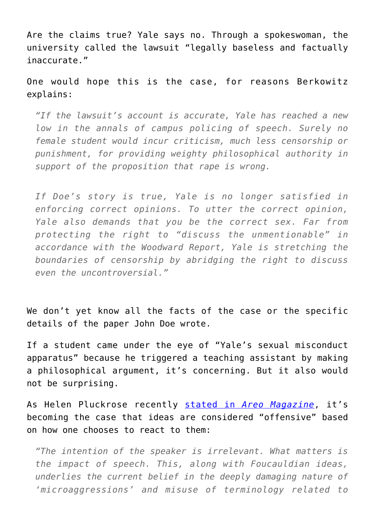Are the claims true? Yale says no. Through a spokeswoman, the university called the lawsuit "legally baseless and factually inaccurate."

One would hope this is the case, for reasons Berkowitz explains:

*"If the lawsuit's account is accurate, Yale has reached a new low in the annals of campus policing of speech. Surely no female student would incur criticism, much less censorship or punishment, for providing weighty philosophical authority in support of the proposition that rape is wrong.*

*If Doe's story is true, Yale is no longer satisfied in enforcing correct opinions. To utter the correct opinion, Yale also demands that you be the correct sex. Far from protecting the right to "discuss the unmentionable" in accordance with the Woodward Report, Yale is stretching the boundaries of censorship by abridging the right to discuss even the uncontroversial."*

We don't yet know all the facts of the case or the specific details of the paper John Doe wrote.

If a student came under the eye of "Yale's sexual misconduct apparatus" because he triggered a teaching assistant by making a philosophical argument, it's concerning. But it also would not be surprising.

As Helen Pluckrose recently [stated in](https://www.intellectualtakeout.org/blog/postmodernism-philosophy-behind-identity-politics) *[Areo Magazine](https://www.intellectualtakeout.org/blog/postmodernism-philosophy-behind-identity-politics)*, it's becoming the case that ideas are considered "offensive" based on how one chooses to react to them:

*"The intention of the speaker is irrelevant. What matters is the impact of speech. This, along with Foucauldian ideas, underlies the current belief in the deeply damaging nature of 'microaggressions' and misuse of terminology related to*